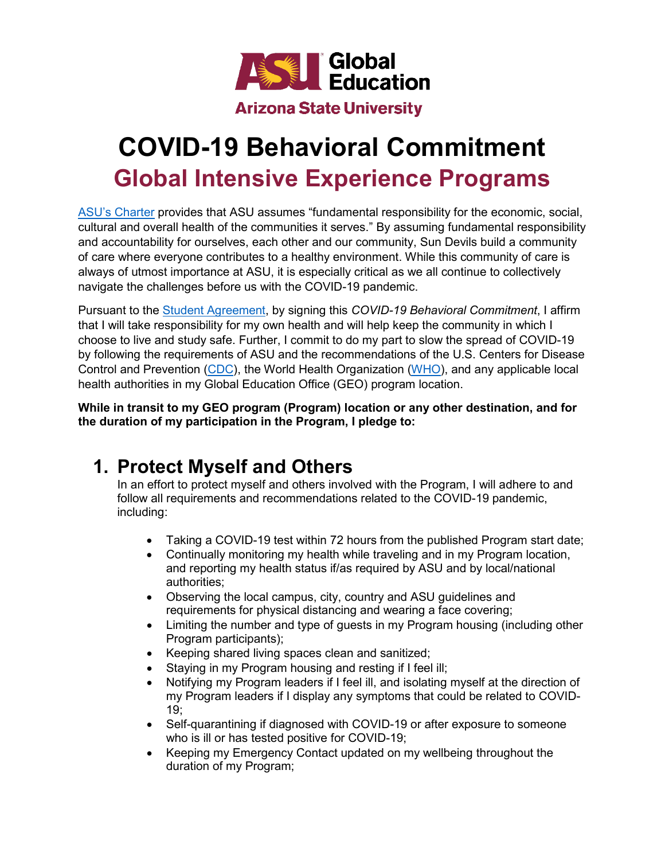

## **COVID-19 Behavioral Commitment Global Intensive Experience Programs**

[ASU's Charter](https://www.asu.edu/about/charter-mission-and-values) provides that ASU assumes "fundamental responsibility for the economic, social, cultural and overall health of the communities it serves." By assuming fundamental responsibility and accountability for ourselves, each other and our community, Sun Devils build a community of care where everyone contributes to a healthy environment. While this community of care is always of utmost importance at ASU, it is especially critical as we all continue to collectively navigate the challenges before us with the COVID-19 pandemic.

Pursuant to the [Student Agreement,](https://goglobal.asu.edu/students/documents) by signing this *COVID-19 Behavioral Commitment*, I affirm that I will take responsibility for my own health and will help keep the community in which I choose to live and study safe. Further, I commit to do my part to slow the spread of COVID-19 by following the requirements of ASU and the recommendations of the U.S. Centers for Disease Control and Prevention [\(CDC\)](https://www.cdc.gov/coronavirus/2019-nCoV/index.html), the World Health Organization [\(WHO\)](https://www.who.int/emergencies/diseases/novel-coronavirus-2019), and any applicable local health authorities in my Global Education Office (GEO) program location.

**While in transit to my GEO program (Program) location or any other destination, and for the duration of my participation in the Program, I pledge to:**

## **1. Protect Myself and Others**

In an effort to protect myself and others involved with the Program, I will adhere to and follow all requirements and recommendations related to the COVID-19 pandemic, including:

- Taking a COVID-19 test within 72 hours from the published Program start date;
- Continually monitoring my health while traveling and in my Program location, and reporting my health status if/as required by ASU and by local/national authorities;
- Observing the local campus, city, country and ASU guidelines and requirements for physical distancing and wearing a face covering;
- Limiting the number and type of guests in my Program housing (including other Program participants);
- Keeping shared living spaces clean and sanitized;
- Staying in my Program housing and resting if I feel ill;
- Notifying my Program leaders if I feel ill, and isolating myself at the direction of my Program leaders if I display any symptoms that could be related to COVID-19;
- Self-quarantining if diagnosed with COVID-19 or after exposure to someone who is ill or has tested positive for COVID-19;
- Keeping my Emergency Contact updated on my wellbeing throughout the duration of my Program;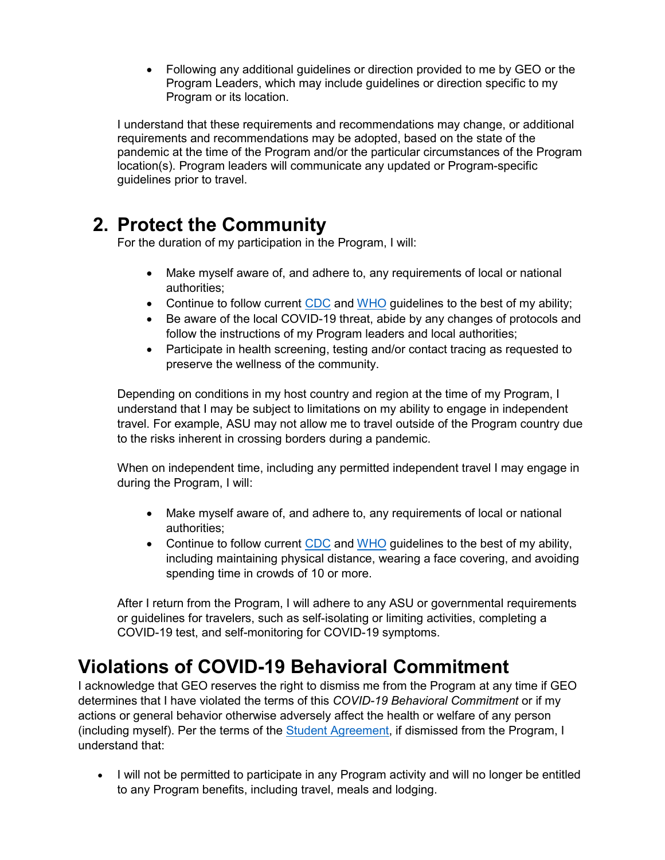• Following any additional guidelines or direction provided to me by GEO or the Program Leaders, which may include guidelines or direction specific to my Program or its location.

I understand that these requirements and recommendations may change, or additional requirements and recommendations may be adopted, based on the state of the pandemic at the time of the Program and/or the particular circumstances of the Program location(s). Program leaders will communicate any updated or Program-specific guidelines prior to travel.

## **2. Protect the Community**

For the duration of my participation in the Program, I will:

- Make myself aware of, and adhere to, any requirements of local or national authorities;
- Continue to follow current [CDC](https://www.cdc.gov/coronavirus/2019-nCoV/index.html) and [WHO](https://www.who.int/emergencies/diseases/novel-coronavirus-2019) guidelines to the best of my ability;
- Be aware of the local COVID-19 threat, abide by any changes of protocols and follow the instructions of my Program leaders and local authorities;
- Participate in health screening, testing and/or contact tracing as requested to preserve the wellness of the community.

Depending on conditions in my host country and region at the time of my Program, I understand that I may be subject to limitations on my ability to engage in independent travel. For example, ASU may not allow me to travel outside of the Program country due to the risks inherent in crossing borders during a pandemic.

When on independent time, including any permitted independent travel I may engage in during the Program, I will:

- Make myself aware of, and adhere to, any requirements of local or national authorities;
- Continue to follow current [CDC](https://www.cdc.gov/coronavirus/2019-nCoV/index.html) and [WHO](https://www.who.int/emergencies/diseases/novel-coronavirus-2019) guidelines to the best of my ability, including maintaining physical distance, wearing a face covering, and avoiding spending time in crowds of 10 or more.

After I return from the Program, I will adhere to any ASU or governmental requirements or guidelines for travelers, such as self-isolating or limiting activities, completing a COVID-19 test, and self-monitoring for COVID-19 symptoms.

## **Violations of COVID-19 Behavioral Commitment**

I acknowledge that GEO reserves the right to dismiss me from the Program at any time if GEO determines that I have violated the terms of this *COVID-19 Behavioral Commitment* or if my actions or general behavior otherwise adversely affect the health or welfare of any person (including myself). Per the terms of the [Student Agreement,](https://goglobal.asu.edu/students/documents) if dismissed from the Program, I understand that:

• I will not be permitted to participate in any Program activity and will no longer be entitled to any Program benefits, including travel, meals and lodging.